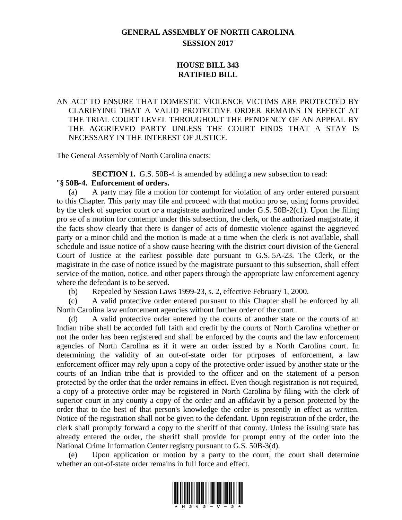## **GENERAL ASSEMBLY OF NORTH CAROLINA SESSION 2017**

## **HOUSE BILL 343 RATIFIED BILL**

## AN ACT TO ENSURE THAT DOMESTIC VIOLENCE VICTIMS ARE PROTECTED BY CLARIFYING THAT A VALID PROTECTIVE ORDER REMAINS IN EFFECT AT THE TRIAL COURT LEVEL THROUGHOUT THE PENDENCY OF AN APPEAL BY THE AGGRIEVED PARTY UNLESS THE COURT FINDS THAT A STAY IS NECESSARY IN THE INTEREST OF JUSTICE.

The General Assembly of North Carolina enacts:

**SECTION 1.** G.S. 50B-4 is amended by adding a new subsection to read:

## "**§ 50B-4. Enforcement of orders.**

(a) A party may file a motion for contempt for violation of any order entered pursuant to this Chapter. This party may file and proceed with that motion pro se, using forms provided by the clerk of superior court or a magistrate authorized under G.S. 50B-2(c1). Upon the filing pro se of a motion for contempt under this subsection, the clerk, or the authorized magistrate, if the facts show clearly that there is danger of acts of domestic violence against the aggrieved party or a minor child and the motion is made at a time when the clerk is not available, shall schedule and issue notice of a show cause hearing with the district court division of the General Court of Justice at the earliest possible date pursuant to G.S. 5A-23. The Clerk, or the magistrate in the case of notice issued by the magistrate pursuant to this subsection, shall effect service of the motion, notice, and other papers through the appropriate law enforcement agency where the defendant is to be served.

(b) Repealed by Session Laws 1999-23, s. 2, effective February 1, 2000.

(c) A valid protective order entered pursuant to this Chapter shall be enforced by all North Carolina law enforcement agencies without further order of the court.

(d) A valid protective order entered by the courts of another state or the courts of an Indian tribe shall be accorded full faith and credit by the courts of North Carolina whether or not the order has been registered and shall be enforced by the courts and the law enforcement agencies of North Carolina as if it were an order issued by a North Carolina court. In determining the validity of an out-of-state order for purposes of enforcement, a law enforcement officer may rely upon a copy of the protective order issued by another state or the courts of an Indian tribe that is provided to the officer and on the statement of a person protected by the order that the order remains in effect. Even though registration is not required, a copy of a protective order may be registered in North Carolina by filing with the clerk of superior court in any county a copy of the order and an affidavit by a person protected by the order that to the best of that person's knowledge the order is presently in effect as written. Notice of the registration shall not be given to the defendant. Upon registration of the order, the clerk shall promptly forward a copy to the sheriff of that county. Unless the issuing state has already entered the order, the sheriff shall provide for prompt entry of the order into the National Crime Information Center registry pursuant to G.S. 50B-3(d).

(e) Upon application or motion by a party to the court, the court shall determine whether an out-of-state order remains in full force and effect.